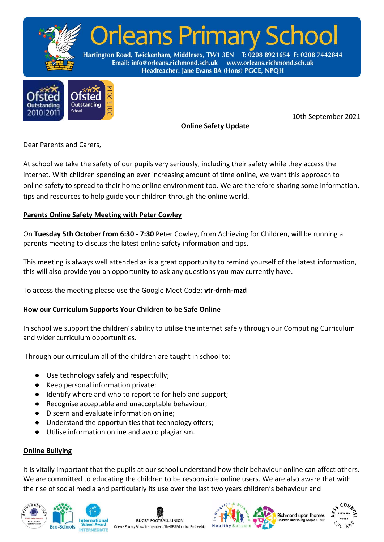



**Online Safety Update**

10th September 2021

Dear Parents and Carers,

At school we take the safety of our pupils very seriously, including their safety while they access the internet. With children spending an ever increasing amount of time online, we want this approach to online safety to spread to their home online environment too. We are therefore sharing some information, tips and resources to help guide your children through the online world.

# **Parents Online Safety Meeting with Peter Cowley**

On **Tuesday 5th October from 6:30 - 7:30** Peter Cowley, from Achieving for Children, will be running a parents meeting to discuss the latest online safety information and tips.

This meeting is always well attended as is a great opportunity to remind yourself of the latest information, this will also provide you an opportunity to ask any questions you may currently have.

To access the meeting please use the Google Meet Code: **vtr-drnh-mzd** 

# **How our Curriculum Supports Your Children to be Safe Online**

In school we support the children's ability to utilise the internet safely through our Computing Curriculum and wider curriculum opportunities.

Through our curriculum all of the children are taught in school to:

- Use technology safely and respectfully;
- Keep personal information private;
- Identify where and who to report to for help and support;
- Recognise acceptable and unacceptable behaviour;
- Discern and evaluate information online;
- Understand the opportunities that technology offers;
- Utilise information online and avoid plagiarism.

### **Online Bullying**

It is vitally important that the pupils at our school understand how their behaviour online can affect others. We are committed to educating the children to be responsible online users. We are also aware that with the rise of social media and particularly its use over the last two years children's behaviour and